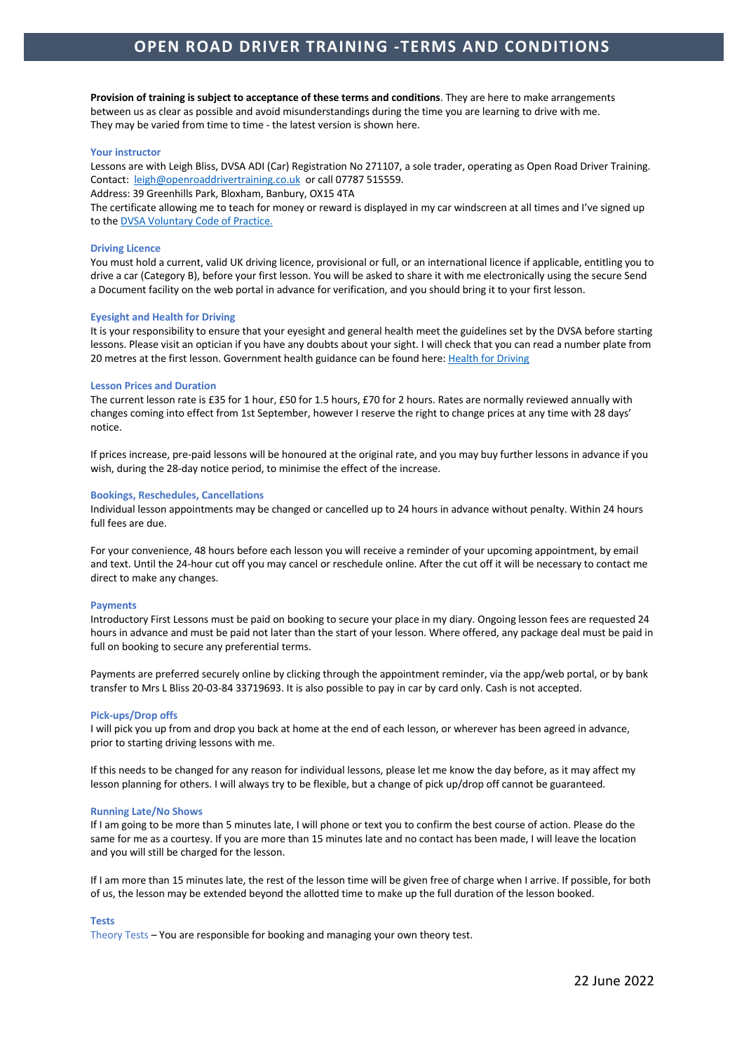**Provision of training is subject to acceptance of these terms and conditions**. They are here to make arrangements between us as clear as possible and avoid misunderstandings during the time you are learning to drive with me. They may be varied from time to time - the latest version is shown here.

# **Your instructor**

Lessons are with Leigh Bliss, DVSA ADI (Car) Registration No 271107, a sole trader, operating as Open Road Driver Training. Contact: leigh@openroaddrivertraining.co.uk or call 07787 515559.

Address: 39 Greenhills Park, Bloxham, Banbury, OX15 4TA

The certificate allowing me to teach for money or reward is displayed in my car windscreen at all times and I've signed up to the DVSA Voluntary Code of Practice.

### **Driving Licence**

You must hold a current, valid UK driving licence, provisional or full, or an international licence if applicable, entitling you to drive a car (Category B), before your first lesson. You will be asked to share it with me electronically using the secure Send a Document facility on the web portal in advance for verification, and you should bring it to your first lesson.

### **Eyesight and Health for Driving**

It is your responsibility to ensure that your eyesight and general health meet the guidelines set by the DVSA before starting lessons. Please visit an optician if you have any doubts about your sight. I will check that you can read a number plate from 20 metres at the first lesson. Government health guidance can be found here: Health for Driving

### **Lesson Prices and Duration**

The current lesson rate is £35 for 1 hour, £50 for 1.5 hours, £70 for 2 hours. Rates are normally reviewed annually with changes coming into effect from 1st September, however I reserve the right to change prices at any time with 28 days' notice.

If prices increase, pre-paid lessons will be honoured at the original rate, and you may buy further lessons in advance if you wish, during the 28-day notice period, to minimise the effect of the increase.

### **Bookings, Reschedules, Cancellations**

Individual lesson appointments may be changed or cancelled up to 24 hours in advance without penalty. Within 24 hours full fees are due.

For your convenience, 48 hours before each lesson you will receive a reminder of your upcoming appointment, by email and text. Until the 24-hour cut off you may cancel or reschedule online. After the cut off it will be necessary to contact me direct to make any changes.

### **Payments**

Introductory First Lessons must be paid on booking to secure your place in my diary. Ongoing lesson fees are requested 24 hours in advance and must be paid not later than the start of your lesson. Where offered, any package deal must be paid in full on booking to secure any preferential terms.

Payments are preferred securely online by clicking through the appointment reminder, via the app/web portal, or by bank transfer to Mrs L Bliss 20-03-84 33719693. It is also possible to pay in car by card only. Cash is not accepted.

### **Pick-ups/Drop offs**

I will pick you up from and drop you back at home at the end of each lesson, or wherever has been agreed in advance, prior to starting driving lessons with me.

If this needs to be changed for any reason for individual lessons, please let me know the day before, as it may affect my lesson planning for others. I will always try to be flexible, but a change of pick up/drop off cannot be guaranteed.

## **Running Late/No Shows**

If I am going to be more than 5 minutes late, I will phone or text you to confirm the best course of action. Please do the same for me as a courtesy. If you are more than 15 minutes late and no contact has been made, I will leave the location and you will still be charged for the lesson.

If I am more than 15 minutes late, the rest of the lesson time will be given free of charge when I arrive. If possible, for both of us, the lesson may be extended beyond the allotted time to make up the full duration of the lesson booked.

### **Tests**

Theory Tests – You are responsible for booking and managing your own theory test.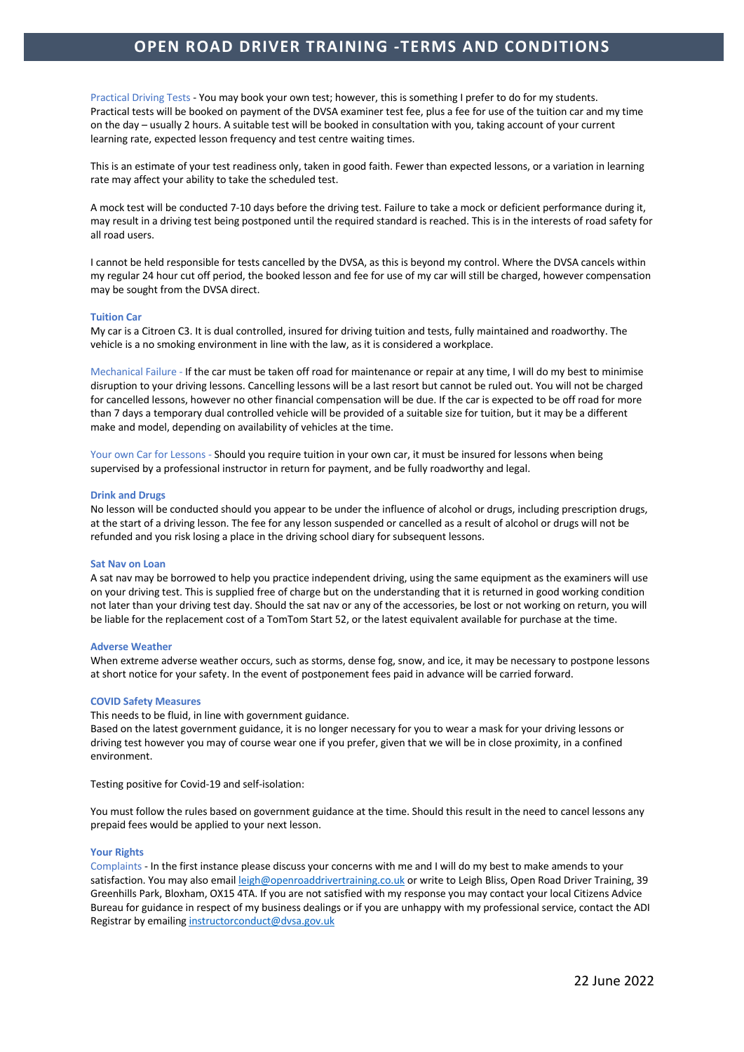# **OPEN ROAD DRIVER TRAINING -TERMS AND CONDITIONS**

Practical Driving Tests - You may book your own test; however, this is something I prefer to do for my students. Practical tests will be booked on payment of the DVSA examiner test fee, plus a fee for use of the tuition car and my time on the day – usually 2 hours. A suitable test will be booked in consultation with you, taking account of your current learning rate, expected lesson frequency and test centre waiting times.

This is an estimate of your test readiness only, taken in good faith. Fewer than expected lessons, or a variation in learning rate may affect your ability to take the scheduled test.

A mock test will be conducted 7-10 days before the driving test. Failure to take a mock or deficient performance during it, may result in a driving test being postponed until the required standard is reached. This is in the interests of road safety for all road users.

I cannot be held responsible for tests cancelled by the DVSA, as this is beyond my control. Where the DVSA cancels within my regular 24 hour cut off period, the booked lesson and fee for use of my car will still be charged, however compensation may be sought from the DVSA direct.

# **Tuition Car**

My car is a Citroen C3. It is dual controlled, insured for driving tuition and tests, fully maintained and roadworthy. The vehicle is a no smoking environment in line with the law, as it is considered a workplace.

Mechanical Failure - If the car must be taken off road for maintenance or repair at any time, I will do my best to minimise disruption to your driving lessons. Cancelling lessons will be a last resort but cannot be ruled out. You will not be charged for cancelled lessons, however no other financial compensation will be due. If the car is expected to be off road for more than 7 days a temporary dual controlled vehicle will be provided of a suitable size for tuition, but it may be a different make and model, depending on availability of vehicles at the time.

Your own Car for Lessons - Should you require tuition in your own car, it must be insured for lessons when being supervised by a professional instructor in return for payment, and be fully roadworthy and legal.

### **Drink and Drugs**

No lesson will be conducted should you appear to be under the influence of alcohol or drugs, including prescription drugs, at the start of a driving lesson. The fee for any lesson suspended or cancelled as a result of alcohol or drugs will not be refunded and you risk losing a place in the driving school diary for subsequent lessons.

### **Sat Nav on Loan**

A sat nav may be borrowed to help you practice independent driving, using the same equipment as the examiners will use on your driving test. This is supplied free of charge but on the understanding that it is returned in good working condition not later than your driving test day. Should the sat nav or any of the accessories, be lost or not working on return, you will be liable for the replacement cost of a TomTom Start 52, or the latest equivalent available for purchase at the time.

### **Adverse Weather**

When extreme adverse weather occurs, such as storms, dense fog, snow, and ice, it may be necessary to postpone lessons at short notice for your safety. In the event of postponement fees paid in advance will be carried forward.

# **COVID Safety Measures**

This needs to be fluid, in line with government guidance.

Based on the latest government guidance, it is no longer necessary for you to wear a mask for your driving lessons or driving test however you may of course wear one if you prefer, given that we will be in close proximity, in a confined environment.

Testing positive for Covid-19 and self-isolation:

You must follow the rules based on government guidance at the time. Should this result in the need to cancel lessons any prepaid fees would be applied to your next lesson.

# **Your Rights**

Complaints - In the first instance please discuss your concerns with me and I will do my best to make amends to your satisfaction. You may also email leigh@openroaddrivertraining.co.uk or write to Leigh Bliss, Open Road Driver Training, 39 Greenhills Park, Bloxham, OX15 4TA. If you are not satisfied with my response you may contact your local Citizens Advice Bureau for guidance in respect of my business dealings or if you are unhappy with my professional service, contact the ADI Registrar by emailing instructorconduct@dvsa.gov.uk